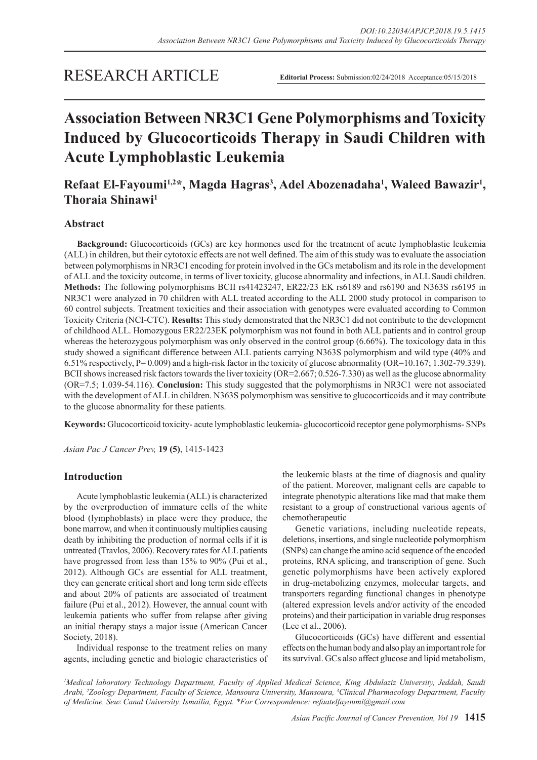# RESEARCH ARTICLE

**Editorial Process:** Submission:02/24/2018 Acceptance:05/15/2018

# **Association Between NR3C1 Gene Polymorphisms and Toxicity Induced by Glucocorticoids Therapy in Saudi Children with Acute Lymphoblastic Leukemia**

## Refaat El-Fayoumi<sup>1,2\*</sup>, Magda Hagras<sup>3</sup>, Adel Abozenadaha<sup>1</sup>, Waleed Bawazir<sup>1</sup>, **Thoraia Shinawi1**

## **Abstract**

**Background:** Glucocorticoids (GCs) are key hormones used for the treatment of acute lymphoblastic leukemia (ALL) in children, but their cytotoxic effects are not well defined. The aim of this study was to evaluate the association between polymorphisms in NR3C1 encoding for protein involved in the GCs metabolism and its role in the development of ALL and the toxicity outcome, in terms of liver toxicity, glucose abnormality and infections, in ALL Saudi children. **Methods:** The following polymorphisms BCII rs41423247, ER22/23 EK rs6189 and rs6190 and N363S rs6195 in NR3C1 were analyzed in 70 children with ALL treated according to the ALL 2000 study protocol in comparison to 60 control subjects. Treatment toxicities and their association with genotypes were evaluated according to Common Toxicity Criteria (NCI-CTC). **Results:** This study demonstrated that the NR3C1 did not contribute to the development of childhood ALL. Homozygous ER22/23EK polymorphism was not found in both ALL patients and in control group whereas the heterozygous polymorphism was only observed in the control group (6.66%). The toxicology data in this study showed a significant difference between ALL patients carrying N363S polymorphism and wild type (40% and 6.51% respectively, P= 0.009) and a high-risk factor in the toxicity of glucose abnormality (OR=10.167; 1.302-79.339). BCII shows increased risk factors towards the liver toxicity  $(OR=2.667; 0.526-7.330)$  as well as the glucose abnormality (OR=7.5; 1.039-54.116). **Conclusion:** This study suggested that the polymorphisms in NR3C1 were not associated with the development of ALL in children. N363S polymorphism was sensitive to glucocorticoids and it may contribute to the glucose abnormality for these patients.

**Keywords:** Glucocorticoid toxicity- acute lymphoblastic leukemia- glucocorticoid receptor gene polymorphisms- SNPs

*Asian Pac J Cancer Prev,* **19 (5)**, 1415-1423

## **Introduction**

Acute lymphoblastic leukemia (ALL) is characterized by the overproduction of immature cells of the white blood (lymphoblasts) in place were they produce, the bone marrow, and when it continuously multiplies causing death by inhibiting the production of normal cells if it is untreated (Travlos, 2006). Recovery rates for ALL patients have progressed from less than 15% to 90% (Pui et al., 2012). Although GCs are essential for ALL treatment, they can generate critical short and long term side effects and about 20% of patients are associated of treatment failure (Pui et al., 2012). However, the annual count with leukemia patients who suffer from relapse after giving an initial therapy stays a major issue (American Cancer Society, 2018).

Individual response to the treatment relies on many agents, including genetic and biologic characteristics of the leukemic blasts at the time of diagnosis and quality of the patient. Moreover, malignant cells are capable to integrate phenotypic alterations like mad that make them resistant to a group of constructional various agents of chemotherapeutic

Genetic variations, including nucleotide repeats, deletions, insertions, and single nucleotide polymorphism (SNPs) can change the amino acid sequence of the encoded proteins, RNA splicing, and transcription of gene. Such genetic polymorphisms have been actively explored in drug-metabolizing enzymes, molecular targets, and transporters regarding functional changes in phenotype (altered expression levels and/or activity of the encoded proteins) and their participation in variable drug responses (Lee et al., 2006).

Glucocorticoids (GCs) have different and essential effects on the human body and also play an important role for its survival. GCs also affect glucose and lipid metabolism,

*1 Medical laboratory Technology Department, Faculty of Applied Medical Science, King Abdulaziz University, Jeddah, Saudi Arabi, 2 Zoology Department, Faculty of Science, Mansoura University, Mansoura, 3 Clinical Pharmacology Department, Faculty of Medicine, Seuz Canal University. Ismailia, Egypt. \*For Correspondence: refaatelfayoumi@gmail.com*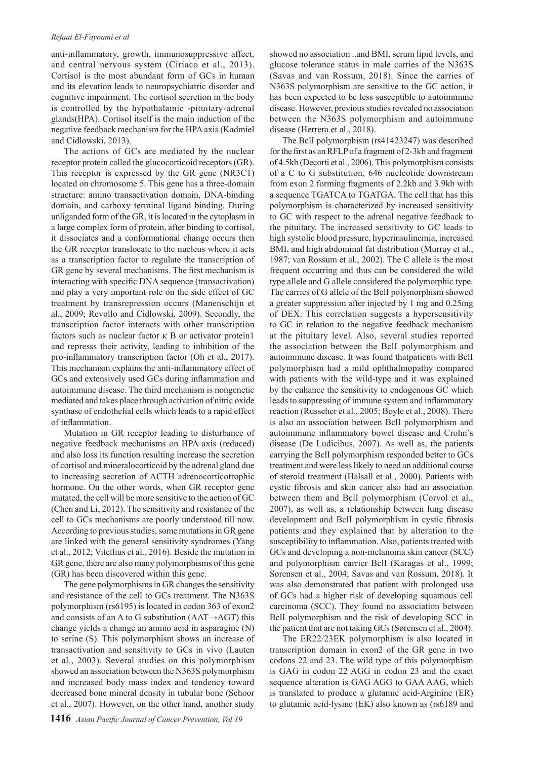#### *Refaat El-Fayoumi et al*

anti-inflammatory, growth, immunosuppressive affect, and central nervous system (Ciriaco et al., 2013). Cortisol is the most abundant form of GCs in human and its elevation leads to neuropsychiatric disorder and cognitive impairment. The cortisol secretion in the body is controlled by the hypothalamic -pituitary-adrenal glands(HPA). Cortisol itself is the main induction of the negative feedback mechanism for the HPA axis (Kadmiel and Cidlowski, 2013).

The actions of GCs are mediated by the nuclear receptor protein called the glucocorticoid receptors (GR). This receptor is expressed by the GR gene (NR3C1) located on chromosome 5. This gene has a three-domain structure: amino transactivation domain, DNA-binding domain, and carboxy terminal ligand binding. During unliganded form of the GR, it is located in the cytoplasm in a large complex form of protein, after binding to cortisol, it dissociates and a conformational change occurs then the GR receptor translocate to the nucleus where it acts as a transcription factor to regulate the transcription of GR gene by several mechanisms. The first mechanism is interacting with specific DNA sequence (transactivation) and play a very important role on the side effect of GC treatment by transrepression occurs (Manenschijn et al., 2009; Revollo and Cidlowski, 2009). Secondly, the transcription factor interacts with other transcription factors such as nuclear factor  $\kappa$  B or activator protein1 and represss their activity, leading to inhibition of the pro-inflammatory transcription factor (Oh et al., 2017). This mechanism explains the anti-inflammatory effect of GCs and extensively used GCs during inflammation and autoimmune disease. The third mechanism is nongenetic mediated and takes place through activation of nitric oxide synthase of endothelial cells which leads to a rapid effect of inflammation.

Mutation in GR receptor leading to disturbance of negative feedback mechanisms on HPA axis (reduced) and also loss its function resulting increase the secretion of cortisol and mineralocorticoid by the adrenal gland due to increasing secretion of ACTH adrenocorticotrophic hormone. On the other words, when GR receptor gene mutated, the cell will be more sensitive to the action of GC (Chen and Li, 2012). The sensitivity and resistance of the cell to GCs mechanisms are poorly understood till now. According to previous studies, some mutations in GR gene are linked with the general sensitivity syndromes (Yang et al., 2012; Vitellius et al., 2016). Beside the mutation in GR gene, there are also many polymorphisms of this gene (GR) has been discovered within this gene.

The gene polymorphisms in GR changes the sensitivity and resistance of the cell to GCs treatment. The N363S polymorphism (rs6195) is located in codon 363 of exon2 and consists of an A to G substitution (AAT→AGT) this change yields a change an amino acid in asparagine (N) to serine (S). This polymorphism shows an increase of transactivation and sensitivity to GCs in vivo (Lauten et al., 2003). Several studies on this polymorphism showed an association between the N363S polymorphism and increased body mass index and tendency toward decreased bone mineral density in tubular bone (Schoor et al., 2007). However, on the other hand, another study

showed no association ..and BMI, serum lipid levels, and glucose tolerance status in male carries of the N363S (Savas and van Rossum, 2018). Since the carries of N363S polymorphism are sensitive to the GC action, it has been expected to be less susceptible to autoimmune disease. However, previous studies revealed no association between the N363S polymorphism and autoimmune disease (Herrera et al., 2018).

The BclI polymorphism (rs41423247) was described for the first as an RFLP of a fragment of 2-3kb and fragment of 4.5kb (Decorti et al., 2006). This polymorphism consists of a C to G substitution, 646 nucleotide downstream from exon 2 forming fragments of 2.2kb and 3.9kb with a sequence TGATCA to TGATGA. The cell that has this polymorphism is characterized by increased sensitivity to GC with respect to the adrenal negative feedback to the pituitary. The increased sensitivity to GC leads to high systolic blood pressure, hyperinsulinemia, increased BMI, and high abdominal fat distribution (Murray et al., 1987; van Rossum et al., 2002). The C allele is the most frequent occurring and thus can be considered the wild type allele and G allele considered the polymorphic type. The carries of G allele of the BclI polymorphism showed a greater suppression after injected by 1 mg and 0.25mg of DEX. This correlation suggests a hypersensitivity to GC in relation to the negative feedback mechanism at the pituitary level. Also, several studies reported the association between the BclI polymorphism and autoimmune disease. It was found thatpatients with BclI polymorphism had a mild ophthalmopathy compared with patients with the wild-type and it was explained by the enhance the sensitivity to endogenous GC which leads to suppressing of immune system and inflammatory reaction (Russcher et al., 2005; Boyle et al., 2008). There is also an association between BclI polymorphism and autoimmune inflammatory bowel disease and Crohn's disease (De Ludicibus, 2007). As well as, the patients carrying the BclI polymorphism responded better to GCs treatment and were less likely to need an additional course of steroid treatment (Halsall et al., 2000). Patients with cystic fibrosis and skin cancer also had an association between them and BclI polymorphism (Corvol et al., 2007), as well as, a relationship between lung disease development and BclI polymorphism in cystic fibrosis patients and they explained that by alteration to the susceptibility to inflammation. Also, patients treated with GCs and developing a non-melanoma skin cancer (SCC) and polymorphism carrier BclI (Karagas et al., 1999; Sørensen et al., 2004; Savas and van Rossum, 2018). It was also demonstrated that patient with prolonged use of GCs had a higher risk of developing squamous cell carcinoma (SCC). They found no association between BclI polymorphism and the risk of developing SCC in the patient that are not taking GCs (Sørensen et al., 2004).

The ER22/23EK polymorphism is also located in transcription domain in exon2 of the GR gene in two codons 22 and 23. The wild type of this polymorphism is GAG in codon 22 AGG in codon 23 and the exact sequence alteration is GAG AGG to GAA AAG, which is translated to produce a glutamic acid-Arginine (ER) to glutamic acid-lysine (EK) also known as (rs6189 and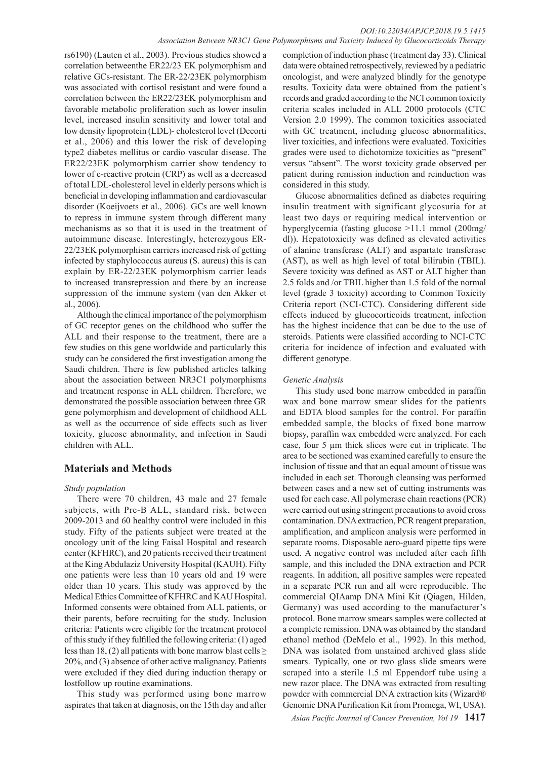#### *DOI:10.22034/APJCP.2018.19.5.1415 Association Between NR3C1 Gene Polymorphisms and Toxicity Induced by Glucocorticoids Therapy*

rs6190) (Lauten et al., 2003). Previous studies showed a correlation betweenthe ER22/23 EK polymorphism and relative GCs-resistant. The ER-22/23EK polymorphism was associated with cortisol resistant and were found a correlation between the ER22/23EK polymorphism and favorable metabolic proliferation such as lower insulin level, increased insulin sensitivity and lower total and low density lipoprotein (LDL)- cholesterol level (Decorti et al., 2006) and this lower the risk of developing type2 diabetes mellitus or cardio vascular disease. The ER22/23EK polymorphism carrier show tendency to lower of c-reactive protein (CRP) as well as a decreased of total LDL-cholesterol level in elderly persons which is beneficial in developing inflammation and cardiovascular disorder (Koeijvoets et al., 2006). GCs are well known to repress in immune system through different many mechanisms as so that it is used in the treatment of autoimmune disease. Interestingly, heterozygous ER-22/23EK polymorphism carriers increased risk of getting infected by staphylococcus aureus (S. aureus) this is can explain by ER-22/23EK polymorphism carrier leads to increased transrepression and there by an increase suppression of the immune system (van den Akker et al., 2006).

Although the clinical importance of the polymorphism of GC receptor genes on the childhood who suffer the ALL and their response to the treatment, there are a few studies on this gene worldwide and particularly this study can be considered the first investigation among the Saudi children. There is few published articles talking about the association between NR3C1 polymorphisms and treatment response in ALL children. Therefore, we demonstrated the possible association between three GR gene polymorphism and development of childhood ALL as well as the occurrence of side effects such as liver toxicity, glucose abnormality, and infection in Saudi children with ALL.

## **Materials and Methods**

## *Study population*

There were 70 children, 43 male and 27 female subjects, with Pre-B ALL, standard risk, between 2009-2013 and 60 healthy control were included in this study. Fifty of the patients subject were treated at the oncology unit of the king Faisal Hospital and research center (KFHRC), and 20 patients received their treatment at the King Abdulaziz University Hospital (KAUH). Fifty one patients were less than 10 years old and 19 were older than 10 years. This study was approved by the Medical Ethics Committee of KFHRC and KAU Hospital. Informed consents were obtained from ALL patients, or their parents, before recruiting for the study. Inclusion criteria: Patients were eligible for the treatment protocol of this study if they fulfilled the following criteria: (1) aged less than 18, (2) all patients with bone marrow blast cells  $\geq$ 20%, and (3) absence of other active malignancy. Patients were excluded if they died during induction therapy or lostfollow up routine examinations.

This study was performed using bone marrow aspirates that taken at diagnosis, on the 15th day and after completion of induction phase (treatment day 33). Clinical data were obtained retrospectively, reviewed by a pediatric oncologist, and were analyzed blindly for the genotype results. Toxicity data were obtained from the patient's records and graded according to the NCI common toxicity criteria scales included in ALL 2000 protocols (CTC Version 2.0 1999). The common toxicities associated with GC treatment, including glucose abnormalities, liver toxicities, and infections were evaluated. Toxicities grades were used to dichotomize toxicities as "present" versus "absent". The worst toxicity grade observed per patient during remission induction and reinduction was considered in this study.

Glucose abnormalities defined as diabetes requiring insulin treatment with significant glycosuria for at least two days or requiring medical intervention or hyperglycemia (fasting glucose >11.1 mmol (200mg/ dl)). Hepatotoxicity was defined as elevated activities of alanine transferase (ALT) and aspartate transferase (AST), as well as high level of total bilirubin (TBIL). Severe toxicity was defined as AST or ALT higher than 2.5 folds and /or TBIL higher than 1.5 fold of the normal level (grade 3 toxicity) according to Common Toxicity Criteria report (NCI-CTC). Considering different side effects induced by glucocorticoids treatment, infection has the highest incidence that can be due to the use of steroids. Patients were classified according to NCI-CTC criteria for incidence of infection and evaluated with different genotype.

## *Genetic Analysis*

This study used bone marrow embedded in paraffin wax and bone marrow smear slides for the patients and EDTA blood samples for the control. For paraffin embedded sample, the blocks of fixed bone marrow biopsy, paraffin wax embedded were analyzed. For each case, four 5 µm thick slices were cut in triplicate. The area to be sectioned was examined carefully to ensure the inclusion of tissue and that an equal amount of tissue was included in each set. Thorough cleansing was performed between cases and a new set of cutting instruments was used for each case. All polymerase chain reactions (PCR) were carried out using stringent precautions to avoid cross contamination. DNA extraction, PCR reagent preparation, amplification, and amplicon analysis were performed in separate rooms. Disposable aero-guard pipette tips were used. A negative control was included after each fifth sample, and this included the DNA extraction and PCR reagents. In addition, all positive samples were repeated in a separate PCR run and all were reproducible. The commercial QIAamp DNA Mini Kit (Qiagen, Hilden, Germany) was used according to the manufacturer's protocol. Bone marrow smears samples were collected at a complete remission. DNA was obtained by the standard ethanol method (DeMelo et al., 1992). In this method, DNA was isolated from unstained archived glass slide smears. Typically, one or two glass slide smears were scraped into a sterile 1.5 ml Eppendorf tube using a new razor place. The DNA was extracted from resulting powder with commercial DNA extraction kits (Wizard® Genomic DNA Purification Kit from Promega, WI, USA).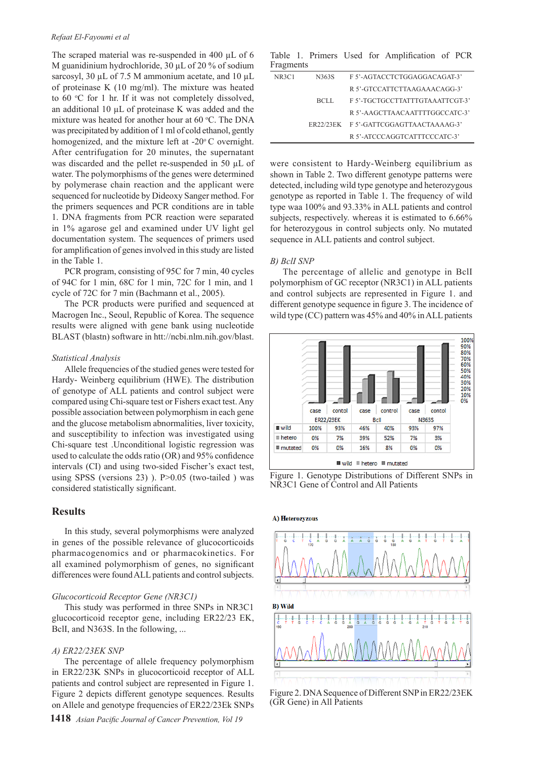#### *Refaat El-Fayoumi et al*

The scraped material was re-suspended in 400 µL of 6 M guanidinium hydrochloride, 30 µL of 20 % of sodium sarcosyl, 30  $\mu$ L of 7.5 M ammonium acetate, and 10  $\mu$ L of proteinase K (10 mg/ml). The mixture was heated to  $60 °C$  for 1 hr. If it was not completely dissolved, an additional  $10 \mu L$  of proteinase K was added and the mixture was heated for another hour at 60 °C. The DNA was precipitated by addition of 1 ml of cold ethanol, gently homogenized, and the mixture left at  $-20^{\circ}$ C overnight. After centrifugation for 20 minutes, the supernatant was discarded and the pellet re-suspended in 50 µL of water. The polymorphisms of the genes were determined by polymerase chain reaction and the applicant were sequenced for nucleotide by Dideoxy Sanger method. For the primers sequences and PCR conditions are in table 1. DNA fragments from PCR reaction were separated in 1% agarose gel and examined under UV light gel documentation system. The sequences of primers used for amplification of genes involved in this study are listed in the Table 1.

PCR program, consisting of 95C for 7 min, 40 cycles of 94C for 1 min, 68C for 1 min, 72C for 1 min, and 1 cycle of 72C for 7 min (Bachmann et al., 2005).

The PCR products were purified and sequenced at Macrogen Inc., Seoul, Republic of Korea. The sequence results were aligned with gene bank using nucleotide BLAST (blastn) software in htt://ncbi.nlm.nih.gov/blast.

#### *Statistical Analysis*

Allele frequencies of the studied genes were tested for Hardy- Weinberg equilibrium (HWE). The distribution of genotype of ALL patients and control subject were compared using Chi-square test or Fishers exact test. Any possible association between polymorphism in each gene and the glucose metabolism abnormalities, liver toxicity, and susceptibility to infection was investigated using Chi-square test .Unconditional logistic regression was used to calculate the odds ratio (OR) and 95% confidence intervals (CI) and using two-sided Fischer's exact test, using SPSS (versions 23) ). P>0.05 (two-tailed ) was considered statistically significant.

## **Results**

In this study, several polymorphisms were analyzed in genes of the possible relevance of glucocorticoids pharmacogenomics and or pharmacokinetics. For all examined polymorphism of genes, no significant differences were found ALL patients and control subjects.

#### *Glucocorticoid Receptor Gene (NR3C1)*

This study was performed in three SNPs in NR3C1 glucocorticoid receptor gene, including ER22/23 EK, BclI, and N363S. In the following, ...

#### *A) ER22/23EK SNP*

The percentage of allele frequency polymorphism in ER22/23K SNPs in glucocorticoid receptor of ALL patients and control subject are represented in Figure 1. Figure 2 depicts different genotype sequences. Results on Allele and genotype frequencies of ER22/23Ek SNPs

Table 1. Primers Used for Amplification of PCR Fragments

| NR3C1 | N363S | F 5'-AGTACCTCTGGAGGACAGAT-3'           |
|-------|-------|----------------------------------------|
|       |       | R 5'-GTCCATTCTTAAGAAACAGG-3'           |
|       | BCLL  | F 5'-TGCTGCCTTATTTGTAAATTCGT-3'        |
|       |       | R 5'-AAGCTTAACAATTTTGGCCATC-3'         |
|       |       | ER22/23EK F 5'-GATTCGGAGTTAACTAAAAG-3' |
|       |       | R 5'-ATCCCAGGTCATTTCCCATC-3'           |

were consistent to Hardy-Weinberg equilibrium as shown in Table 2. Two different genotype patterns were detected, including wild type genotype and heterozygous genotype as reported in Table 1. The frequency of wild type waa 100% and 93.33% in ALL patients and control subjects, respectively. whereas it is estimated to 6.66% for heterozygous in control subjects only. No mutated sequence in ALL patients and control subject.

## *B) BclI SNP*

The percentage of allelic and genotype in BclI polymorphism of GC receptor (NR3C1) in ALL patients and control subjects are represented in Figure 1. and different genotype sequence in figure 3. The incidence of wild type (CC) pattern was 45% and 40% in ALL patients



Figure 1. Genotype Distributions of Different SNPs in NR3C1 Gene of Control and All Patients



(GR Gene) in All Patients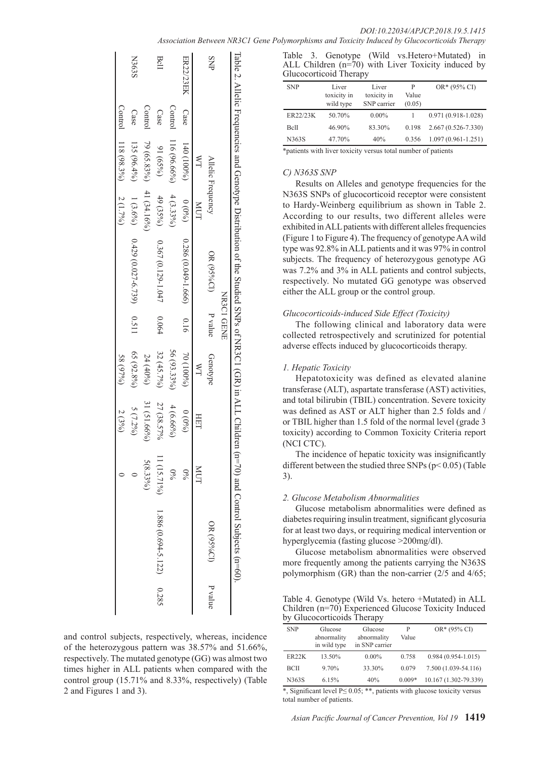|                  |         |                           |             |                             |            |                           |             |             | Table 2. Allelic Frequencies and Genotype Distribution of the Studied SNPs of NR3C1 (GR) in ALL Children (n=70) and Control Subjects (n=60). |         |
|------------------|---------|---------------------------|-------------|-----------------------------|------------|---------------------------|-------------|-------------|----------------------------------------------------------------------------------------------------------------------------------------------|---------|
|                  |         |                           |             |                             | NR3C1 GENE |                           |             |             |                                                                                                                                              |         |
| SNP              |         | Allelic Frequency         |             | $OR (95\%CD)$               | P value    | Genotype                  |             |             | OR (95%CI)                                                                                                                                   | P value |
|                  |         | $\mathbb{A}^{\mathbb{X}}$ | LOW         |                             |            | $\mathbb{A}^{\mathbb{Z}}$ | HEI         | <b>NUT</b>  |                                                                                                                                              |         |
| <b>ER22/23EK</b> | Case    | $140(100\%)$              | (0,0)       | $0.286(0.049 - 1.666)$ 0.16 |            | (96001)02                 | $(9,0)$ 0   | $\%0$       |                                                                                                                                              |         |
|                  | Control | $116(96.66\%)$            | $4(3.33\%)$ |                             |            | 56 (93.33%)               | $4(6.66\%)$ | $\%$        |                                                                                                                                              |         |
| BcII             | Case    | $(65\%)$                  | 49(35%)     | 0.367 (0.129-1.047          | 0.064      | 32 (45.7%)                | 27 (38.57%  | 11 (15.71%) | $1.886(0.694-5.122)$ 0.285                                                                                                                   |         |
|                  | Control | 79 (65.83%)               | 41 (34.16%) |                             |            | $24(40\%)$                | 31 (51.66%) | $5(8.33\%)$ |                                                                                                                                              |         |
| <b>N363S</b>     | Case    | $135(96.4\%)$             | $1(3.6\%)$  | $0.429(0.027-6.739)$ 0.511  |            | 65 (92.8%)                | $5(7.2\%)$  |             |                                                                                                                                              |         |
|                  | Control | 118 (98.3%)               | $2(1.7\%)$  |                             |            | 58(97%)                   | 2(3%)       |             |                                                                                                                                              |         |

and control subjects, respectively, whereas, incidence of the heterozygous pattern was 38.57% and 51.66%, respectively. The mutated genotype (GG) was almost two times higher in ALL patients when compared with the control group (15.71% and 8.33%, respectively) (Table 2 and Figures 1 and 3).

|  |                        |  | Table 3. Genotype (Wild vs. Hetero+Mutated) in     |  |
|--|------------------------|--|----------------------------------------------------|--|
|  |                        |  | ALL Children (n=70) with Liver Toxicity induced by |  |
|  | Glucocorticoid Therapy |  |                                                    |  |

| <b>SNP</b>   | Liver<br>toxicity in<br>wild type | Liver<br>toxicity in<br>SNP carrier | P<br>Value<br>(0.05) | $OR*(95\% CI)$         |
|--------------|-----------------------------------|-------------------------------------|----------------------|------------------------|
| ER22/23K     | 50.70%                            | $0.00\%$                            |                      | $0.971(0.918-1.028)$   |
| <b>B</b> clI | 46.90%                            | 83.30%                              | 0.198                | $2.667(0.526 - 7.330)$ |
| N363S        | 47.70%                            | 40%                                 | 0.356                | $1.097(0.961 - 1.251)$ |

\*patients with liver toxicity versus total number of patients

## *C) N363S SNP*

Results on Alleles and genotype frequencies for the N363S SNPs of glucocorticoid receptor were consistent to Hardy-Weinberg equilibrium as shown in Table 2. According to our results, two different alleles were exhibited in ALL patients with different alleles frequencies (Figure 1 to Figure 4). The frequency of genotype AA wild type was 92.8% in ALL patients and it was 97% in control subjects. The frequency of heterozygous genotype AG was 7.2% and 3% in ALL patients and control subjects, respectively. No mutated GG genotype was observed either the ALL group or the control group.

#### *Glucocorticoids-induced Side Effect (Toxicity)*

The following clinical and laboratory data were collected retrospectively and scrutinized for potential adverse effects induced by glucocorticoids therapy.

#### *1. Hepatic Toxicity*

Hepatotoxicity was defined as elevated alanine transferase (ALT), aspartate transferase (AST) activities, and total bilirubin (TBIL) concentration. Severe toxicity was defined as AST or ALT higher than 2.5 folds and / or TBIL higher than 1.5 fold of the normal level (grade 3 toxicity) according to Common Toxicity Criteria report (NCI CTC).

The incidence of hepatic toxicity was insignificantly different between the studied three SNPs (p< 0.05) (Table 3).

## *2. Glucose Metabolism Abnormalities*

Glucose metabolism abnormalities were defined as diabetes requiring insulin treatment, significant glycosuria for at least two days, or requiring medical intervention or hyperglycemia (fasting glucose >200mg/dl).

Glucose metabolism abnormalities were observed more frequently among the patients carrying the N363S polymorphism (GR) than the non-carrier (2/5 and 4/65;

Table 4. Genotype (Wild Vs. hetero +Mutated) in ALL Children (n=70) Experienced Glucose Toxicity Induced by Glucocorticoids Therapy

| <b>SNP</b>         | Glucose<br>abnormality<br>in wild type | Glucose<br>abnormality<br>in SNP carrier | P<br>Value | $OR*(95\% CI)$        |
|--------------------|----------------------------------------|------------------------------------------|------------|-----------------------|
| ER <sub>22</sub> K | 13.50%                                 | $0.00\%$                                 | 0.758      | $0.984(0.954-1.015)$  |
| BCII               | $9.70\%$                               | 33.30%                                   | 0.079      | 7.500 (1.039-54.116)  |
| N363S              | 6.15%                                  | 40%                                      | $0.009*$   | 10.167 (1.302-79.339) |

\*, Significant level P≤ 0.05; \*\*, patients with glucose toxicity versus total number of patients.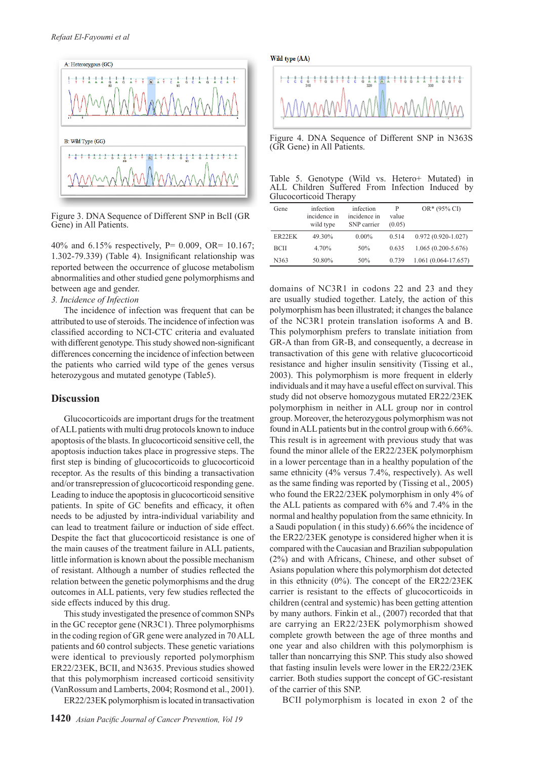

Figure 3. DNA Sequence of Different SNP in BclI (GR Gene) in All Patients.

40% and 6.15% respectively, P= 0.009, OR= 10.167; 1.302-79.339) (Table 4). Insignificant relationship was reported between the occurrence of glucose metabolism abnormalities and other studied gene polymorphisms and between age and gender.

*3. Incidence of Infection*

The incidence of infection was frequent that can be attributed to use of steroids. The incidence of infection was classified according to NCI-CTC criteria and evaluated with different genotype. This study showed non-significant differences concerning the incidence of infection between the patients who carried wild type of the genes versus heterozygous and mutated genotype (Table5).

#### **Discussion**

Glucocorticoids are important drugs for the treatment of ALL patients with multi drug protocols known to induce apoptosis of the blasts. In glucocorticoid sensitive cell, the apoptosis induction takes place in progressive steps. The first step is binding of glucocorticoids to glucocorticoid receptor. As the results of this binding a transactivation and/or transrepression of glucocorticoid responding gene. Leading to induce the apoptosis in glucocorticoid sensitive patients. In spite of GC benefits and efficacy, it often needs to be adjusted by intra-individual variability and can lead to treatment failure or induction of side effect. Despite the fact that glucocorticoid resistance is one of the main causes of the treatment failure in ALL patients, little information is known about the possible mechanism of resistant. Although a number of studies reflected the relation between the genetic polymorphisms and the drug outcomes in ALL patients, very few studies reflected the side effects induced by this drug.

This study investigated the presence of common SNPs in the GC receptor gene (NR3C1). Three polymorphisms in the coding region of GR gene were analyzed in 70 ALL patients and 60 control subjects. These genetic variations were identical to previously reported polymorphism ER22/23EK, BCII, and N3635. Previous studies showed that this polymorphism increased corticoid sensitivity (VanRossum and Lamberts, 2004; Rosmond et al., 2001). ER22/23EK polymorphism is located in transactivation Wild type (AA)



Figure 4. DNA Sequence of Different SNP in N363S (GR Gene) in All Patients.

|                        |  |  |  | Table 5. Genotype (Wild vs. Hetero+ Mutated) in |  |
|------------------------|--|--|--|-------------------------------------------------|--|
|                        |  |  |  | ALL Children Suffered From Infection Induced by |  |
| Glucocorticoid Therapy |  |  |  |                                                 |  |

| infection<br>incidence in<br>wild type | infection<br>incidence in<br>SNP carrier | P<br>value<br>(0.05) | $OR*(95\% CI)$         |
|----------------------------------------|------------------------------------------|----------------------|------------------------|
| 49.30%                                 | $0.00\%$                                 | 0.514                | $0.972(0.920-1.027)$   |
| 4.70%                                  | 50%                                      | 0.635                | $1.065(0.200 - 5.676)$ |
| 50.80%                                 | 50%                                      | 0.739                | $1.061(0.064-17.657)$  |
|                                        |                                          |                      |                        |

domains of NC3R1 in codons 22 and 23 and they are usually studied together. Lately, the action of this polymorphism has been illustrated; it changes the balance of the NC3R1 protein translation isoforms A and B. This polymorphism prefers to translate initiation from GR-A than from GR-B, and consequently, a decrease in transactivation of this gene with relative glucocorticoid resistance and higher insulin sensitivity (Tissing et al., 2003). This polymorphism is more frequent in elderly individuals and it may have a useful effect on survival. This study did not observe homozygous mutated ER22/23EK polymorphism in neither in ALL group nor in control group. Moreover, the heterozygous polymorphism was not found in ALL patients but in the control group with 6.66%. This result is in agreement with previous study that was found the minor allele of the ER22/23EK polymorphism in a lower percentage than in a healthy population of the same ethnicity (4% versus 7.4%, respectively). As well as the same finding was reported by (Tissing et al., 2005) who found the ER22/23EK polymorphism in only 4% of the ALL patients as compared with 6% and 7.4% in the normal and healthy population from the same ethnicity. In a Saudi population ( in this study) 6.66% the incidence of the ER22/23EK genotype is considered higher when it is compared with the Caucasian and Brazilian subpopulation (2%) and with Africans, Chinese, and other subset of Asians population where this polymorphism dot detected in this ethnicity (0%). The concept of the ER22/23EK carrier is resistant to the effects of glucocorticoids in children (central and systemic) has been getting attention by many authors. Finkin et al., (2007) recorded that that are carrying an ER22/23EK polymorphism showed complete growth between the age of three months and one year and also children with this polymorphism is taller than noncarrying this SNP. This study also showed that fasting insulin levels were lower in the ER22/23EK carrier. Both studies support the concept of GC-resistant of the carrier of this SNP.

BCII polymorphism is located in exon 2 of the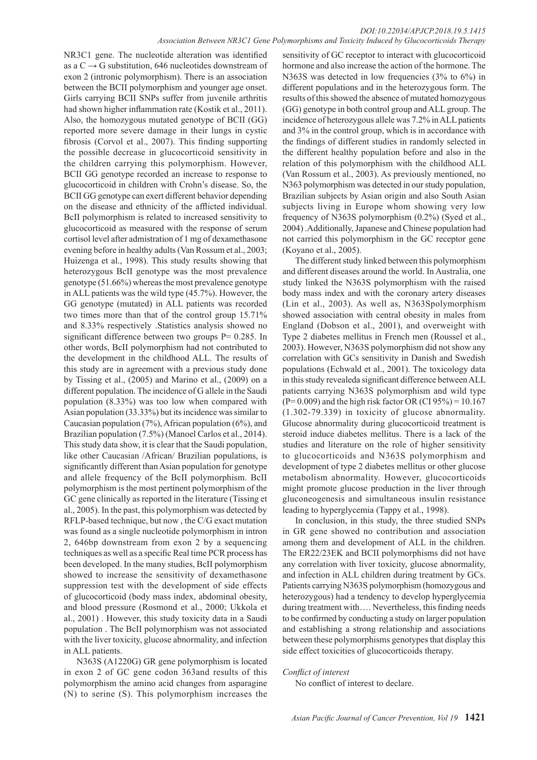NR3C1 gene. The nucleotide alteration was identified as a  $C \rightarrow G$  substitution, 646 nucleotides downstream of exon 2 (intronic polymorphism). There is an association between the BCII polymorphism and younger age onset. Girls carrying BCII SNPs suffer from juvenile arthritis had shown higher inflammation rate (Kostik et al., 2011). Also, the homozygous mutated genotype of BCII (GG) reported more severe damage in their lungs in cystic fibrosis (Corvol et al., 2007). This finding supporting the possible decrease in glucocorticoid sensitivity in the children carrying this polymorphism. However, BCII GG genotype recorded an increase to response to glucocorticoid in children with Crohn's disease. So, the BCII GG genotype can exert different behavior depending on the disease and ethnicity of the afflicted individual. BcII polymorphism is related to increased sensitivity to glucocorticoid as measured with the response of serum cortisol level after admistration of 1 mg of dexamethasone evening before in healthy adults (Van Rossum et al., 2003; Huizenga et al., 1998). This study results showing that heterozygous BcII genotype was the most prevalence genotype (51.66%) whereas the most prevalence genotype in ALL patients was the wild type (45.7%). However, the GG genotype (mutated) in ALL patients was recorded two times more than that of the control group 15.71% and 8.33% respectively .Statistics analysis showed no significant difference between two groups P= 0.285. In other words, BcII polymorphism had not contributed to the development in the childhood ALL. The results of this study are in agreement with a previous study done by Tissing et al., (2005) and Marino et al., (2009) on a different population. The incidence of G allele in the Saudi population (8.33%) was too low when compared with Asian population (33.33%) but its incidence was similar to Caucasian population (7%), African population (6%), and Brazilian population (7.5%) (Manoel Carlos et al., 2014). This study data show, it is clear that the Saudi population, like other Caucasian /African/ Brazilian populations, is significantly different than Asian population for genotype and allele frequency of the BcII polymorphism. BcII polymorphism is the most pertinent polymorphism of the GC gene clinically as reported in the literature (Tissing et al., 2005). In the past, this polymorphism was detected by RFLP-based technique, but now , the C/G exact mutation was found as a single nucleotide polymorphism in intron 2, 646bp downstream from exon 2 by a sequencing techniques as well as a specific Real time PCR process has been developed. In the many studies, BcII polymorphism showed to increase the sensitivity of dexamethasone suppression test with the development of side effects of glucocorticoid (body mass index, abdominal obesity, and blood pressure (Rosmond et al., 2000; Ukkola et al., 2001) . However, this study toxicity data in a Saudi population . The BcII polymorphism was not associated with the liver toxicity, glucose abnormality, and infection in ALL patients.

N363S (A1220G) GR gene polymorphism is located in exon 2 of GC gene codon 363and results of this polymorphism the amino acid changes from asparagine (N) to serine (S). This polymorphism increases the

sensitivity of GC receptor to interact with glucocorticoid hormone and also increase the action of the hormone. The N363S was detected in low frequencies (3% to 6%) in different populations and in the heterozygous form. The results of this showed the absence of mutated homozygous (GG) genotype in both control group and ALL group. The incidence of heterozygous allele was 7.2% in ALL patients and 3% in the control group, which is in accordance with the findings of different studies in randomly selected in the different healthy population before and also in the relation of this polymorphism with the childhood ALL (Van Rossum et al., 2003). As previously mentioned, no N363 polymorphism was detected in our study population, Brazilian subjects by Asian origin and also South Asian subjects living in Europe whom showing very low frequency of N363S polymorphism (0.2%) (Syed et al., 2004) .Additionally, Japanese and Chinese population had not carried this polymorphism in the GC receptor gene (Koyano et al., 2005).

The different study linked between this polymorphism and different diseases around the world. In Australia, one study linked the N363S polymorphism with the raised body mass index and with the coronary artery diseases (Lin et al., 2003). As well as, N363Spolymorphism showed association with central obesity in males from England (Dobson et al., 2001), and overweight with Type 2 diabetes mellitus in French men (Roussel et al., 2003). However, N363S polymorphism did not show any correlation with GCs sensitivity in Danish and Swedish populations (Echwald et al., 2001). The toxicology data in this study revealeda significant difference between ALL patients carrying N363S polymorphism and wild type  $(P= 0.009)$  and the high risk factor OR (CI 95%) = 10.167 (1.302-79.339) in toxicity of glucose abnormality. Glucose abnormality during glucocorticoid treatment is steroid induce diabetes mellitus. There is a lack of the studies and literature on the role of higher sensitivity to glucocorticoids and N363S polymorphism and development of type 2 diabetes mellitus or other glucose metabolism abnormality. However, glucocorticoids might promote glucose production in the liver through gluconeogenesis and simultaneous insulin resistance leading to hyperglycemia (Tappy et al., 1998).

In conclusion, in this study, the three studied SNPs in GR gene showed no contribution and association among them and development of ALL in the children. The ER22/23EK and BCII polymorphisms did not have any correlation with liver toxicity, glucose abnormality, and infection in ALL children during treatment by GCs. Patients carrying N363S polymorphism (homozygous and heterozygous) had a tendency to develop hyperglycemia during treatment with…. Nevertheless, this finding needs to be confirmed by conducting a study on larger population and establishing a strong relationship and associations between these polymorphisms genotypes that display this side effect toxicities of glucocorticoids therapy.

## *Conflict of interest*

No conflict of interest to declare.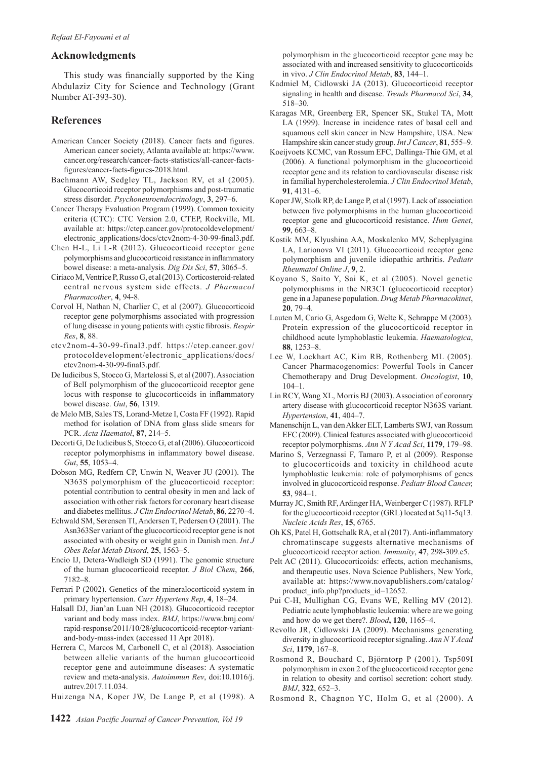## **Acknowledgments**

This study was financially supported by the King Abdulaziz City for Science and Technology (Grant Number AT-393-30).

## **References**

- American Cancer Society (2018). Cancer facts and figures. American cancer society, Atlanta available at: https://www. cancer.org/research/cancer-facts-statistics/all-cancer-factsfigures/cancer-facts-figures-2018.html.
- Bachmann AW, Sedgley TL, Jackson RV, et al (2005). Glucocorticoid receptor polymorphisms and post-traumatic stress disorder. *Psychoneuroendocrinology*, **3**, 297–6.
- Cancer Therapy Evaluation Program (1999). Common toxicity criteria (CTC): CTC Version 2.0, CTEP, Rockville, ML available at: https://ctep.cancer.gov/protocoldevelopment/ electronic\_applications/docs/ctcv2nom-4-30-99-final3.pdf.
- Chen H-L, Li L-R (2012). Glucocorticoid receptor gene polymorphisms and glucocorticoid resistance in inflammatory bowel disease: a meta-analysis. *Dig Dis Sci*, **57**, 3065–5.
- Ciriaco M, Ventrice P, Russo G, et al (2013). Corticosteroid-related central nervous system side effects. *J Pharmacol Pharmacother*, **4**, 94-8.
- Corvol H, Nathan N, Charlier C, et al (2007). Glucocorticoid receptor gene polymorphisms associated with progression of lung disease in young patients with cystic fibrosis. *Respir Res*, **8**, 88.
- ctcv2nom-4-30-99-final3.pdf. https://ctep.cancer.gov/ protocoldevelopment/electronic\_applications/docs/ ctcv2nom-4-30-99-final3.pdf.
- De Iudicibus S, Stocco G, Martelossi S, et al (2007). Association of BclI polymorphism of the glucocorticoid receptor gene locus with response to glucocorticoids in inflammatory bowel disease. *Gut*, **56**, 1319.
- de Melo MB, Sales TS, Lorand-Metze I, Costa FF (1992). Rapid method for isolation of DNA from glass slide smears for PCR. *Acta Haematol*, **87**, 214–5.
- Decorti G, De Iudicibus S, Stocco G, et al (2006). Glucocorticoid receptor polymorphisms in inflammatory bowel disease. *Gut*, **55**, 1053–4.
- Dobson MG, Redfern CP, Unwin N, Weaver JU (2001). The N363S polymorphism of the glucocorticoid receptor: potential contribution to central obesity in men and lack of association with other risk factors for coronary heart disease and diabetes mellitus. *J Clin Endocrinol Metab*, **86**, 2270–4.
- Echwald SM, Sørensen TI, Andersen T, Pedersen O (2001). The Asn363Ser variant of the glucocorticoid receptor gene is not associated with obesity or weight gain in Danish men. *Int J Obes Relat Metab Disord*, **25**, 1563–5.
- Encío IJ, Detera-Wadleigh SD (1991). The genomic structure of the human glucocorticoid receptor. *J Biol Chem*, **266**, 7182–8.
- Ferrari P (2002). Genetics of the mineralocorticoid system in primary hypertension. *Curr Hypertens Rep*, **4**, 18–24.
- Halsall DJ, Jian'an Luan NH (2018). Glucocorticoid receptor variant and body mass index. *BMJ*, https://www.bmj.com/ rapid-response/2011/10/28/glucocorticoid-receptor-variantand-body-mass-index (accessed 11 Apr 2018).
- Herrera C, Marcos M, Carbonell C, et al (2018). Association between allelic variants of the human glucocorticoid receptor gene and autoimmune diseases: A systematic review and meta-analysis. *Autoimmun Rev*, doi:10.1016/j. autrev.2017.11.034.
- Huizenga NA, Koper JW, De Lange P, et al (1998). A

polymorphism in the glucocorticoid receptor gene may be associated with and increased sensitivity to glucocorticoids in vivo. *J Clin Endocrinol Metab*, **83**, 144–1.

- Kadmiel M, Cidlowski JA (2013). Glucocorticoid receptor signaling in health and disease. *Trends Pharmacol Sci*, **34**, 518–30.
- Karagas MR, Greenberg ER, Spencer SK, Stukel TA, Mott LA (1999). Increase in incidence rates of basal cell and squamous cell skin cancer in New Hampshire, USA. New Hampshire skin cancer study group. *Int J Cancer*, **81**, 555–9.
- Koeijvoets KCMC, van Rossum EFC, Dallinga-Thie GM, et al (2006). A functional polymorphism in the glucocorticoid receptor gene and its relation to cardiovascular disease risk in familial hypercholesterolemia. *J Clin Endocrinol Metab*, **91**, 4131–6.
- Koper JW, Stolk RP, de Lange P, et al (1997). Lack of association between five polymorphisms in the human glucocorticoid receptor gene and glucocorticoid resistance. *Hum Genet*, **99**, 663–8.
- Kostik MM, Klyushina AA, Moskalenko MV, Scheplyagina LA, Larionova VI (2011). Glucocorticoid receptor gene polymorphism and juvenile idiopathic arthritis. *Pediatr Rheumatol Online J*, **9**, 2.
- Koyano S, Saito Y, Sai K, et al (2005). Novel genetic polymorphisms in the NR3C1 (glucocorticoid receptor) gene in a Japanese population. *Drug Metab Pharmacokinet*, **20**, 79–4.
- Lauten M, Cario G, Asgedom G, Welte K, Schrappe M (2003). Protein expression of the glucocorticoid receptor in childhood acute lymphoblastic leukemia. *Haematologica*, **88**, 1253–8.
- Lee W, Lockhart AC, Kim RB, Rothenberg ML (2005). Cancer Pharmacogenomics: Powerful Tools in Cancer Chemotherapy and Drug Development. *Oncologist*, **10**, 104–1.
- Lin RCY, Wang XL, Morris BJ (2003). Association of coronary artery disease with glucocorticoid receptor N363S variant. *Hypertension*, **41**, 404–7.
- Manenschijn L, van den Akker ELT, Lamberts SWJ, van Rossum EFC (2009). Clinical features associated with glucocorticoid receptor polymorphisms. *Ann N Y Acad Sci*, **1179**, 179–98.
- Marino S, Verzegnassi F, Tamaro P, et al (2009). Response to glucocorticoids and toxicity in childhood acute lymphoblastic leukemia: role of polymorphisms of genes involved in glucocorticoid response. *Pediatr Blood Cancer,* **53**, 984–1.
- Murray JC, Smith RF, Ardinger HA, Weinberger C (1987). RFLP for the glucocorticoid receptor (GRL) located at 5q11-5q13. *Nucleic Acids Res*, **15**, 6765.
- Oh KS, Patel H, Gottschalk RA, et al (2017). Anti-inflammatory chromatinscape suggests alternative mechanisms of glucocorticoid receptor action. *Immunity*, **47**, 298-309.e5.
- Pelt AC (2011). Glucocorticoids: effects, action mechanisms, and therapeutic uses. Nova Science Publishers, New York, available at: https://www.novapublishers.com/catalog/ product info.php?products id=12652.
- Pui C-H, Mullighan CG, Evans WE, Relling MV (2012). Pediatric acute lymphoblastic leukemia: where are we going and how do we get there?. *Blood***, 120**, 1165–4.
- Revollo JR, Cidlowski JA (2009). Mechanisms generating diversity in glucocorticoid receptor signaling. *Ann N Y Acad Sci*, **1179**, 167–8.
- Rosmond R, Bouchard C, Björntorp P (2001). Tsp509I polymorphism in exon 2 of the glucocorticoid receptor gene in relation to obesity and cortisol secretion: cohort study. *BMJ*, **322**, 652–3.
- Rosmond R, Chagnon YC, Holm G, et al (2000). A